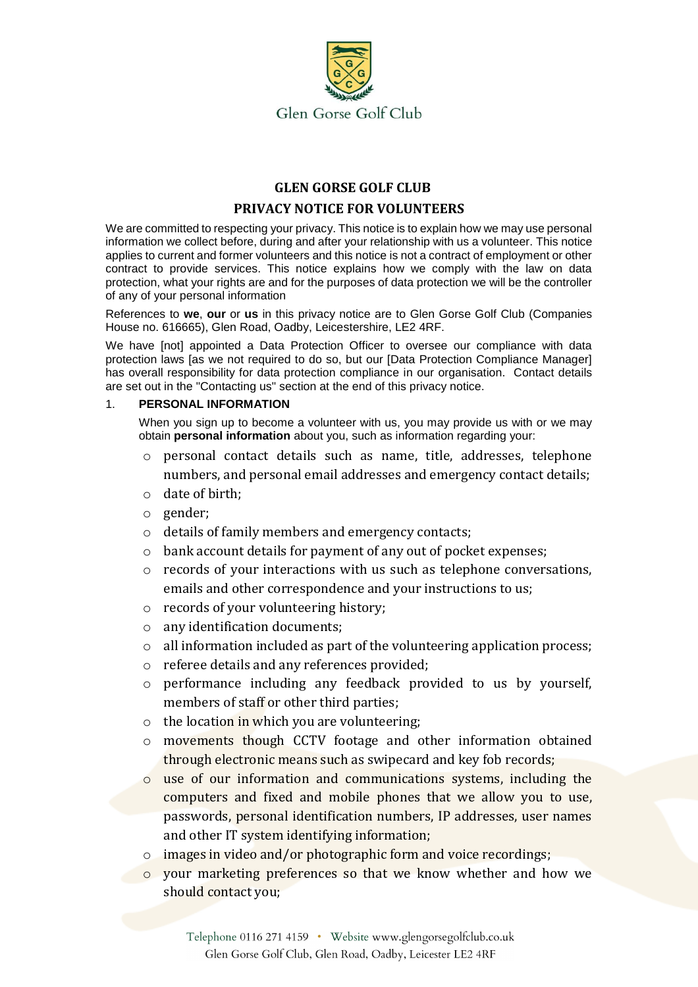

# **GLEN GORSE GOLF CLUB**

## **PRIVACY NOTICE FOR VOLUNTEERS**

We are committed to respecting your privacy. This notice is to explain how we may use personal information we collect before, during and after your relationship with us a volunteer. This notice applies to current and former volunteers and this notice is not a contract of employment or other contract to provide services. This notice explains how we comply with the law on data protection, what your rights are and for the purposes of data protection we will be the controller of any of your personal information

References to **we**, **our** or **us** in this privacy notice are to Glen Gorse Golf Club (Companies House no. 616665), Glen Road, Oadby, Leicestershire, LE2 4RF.

We have [not] appointed a Data Protection Officer to oversee our compliance with data protection laws [as we not required to do so, but our [Data Protection Compliance Manager] has overall responsibility for data protection compliance in our organisation. Contact details are set out in the "Contacting us" section at the end of this privacy notice.

## 1. **PERSONAL INFORMATION**

When you sign up to become a volunteer with us, you may provide us with or we may obtain **personal information** about you, such as information regarding your:

- o personal contact details such as name, title, addresses, telephone numbers, and personal email addresses and emergency contact details;
- o date of birth;
- o gender;
- o details of family members and emergency contacts;
- o bank account details for payment of any out of pocket expenses;
- o records of your interactions with us such as telephone conversations, emails and other correspondence and your instructions to us;
- o records of your volunteering history;
- o any identification documents;
- o all information included as part of the volunteering application process;
- o referee details and any references provided;
- o performance including any feedback provided to us by yourself, members of staff or other third parties;
- $\circ$  the location in which you are volunteering;
- o movements though CCTV footage and other information obtained through electronic means such as swipecard and key fob records;
- o use of our information and communications systems, including the computers and fixed and mobile phones that we allow you to use, passwords, personal identification numbers, IP addresses, user names and other IT system identifying information;
- o images in video and/or photographic form and voice recordings;
- o your marketing preferences so that we know whether and how we should contact you;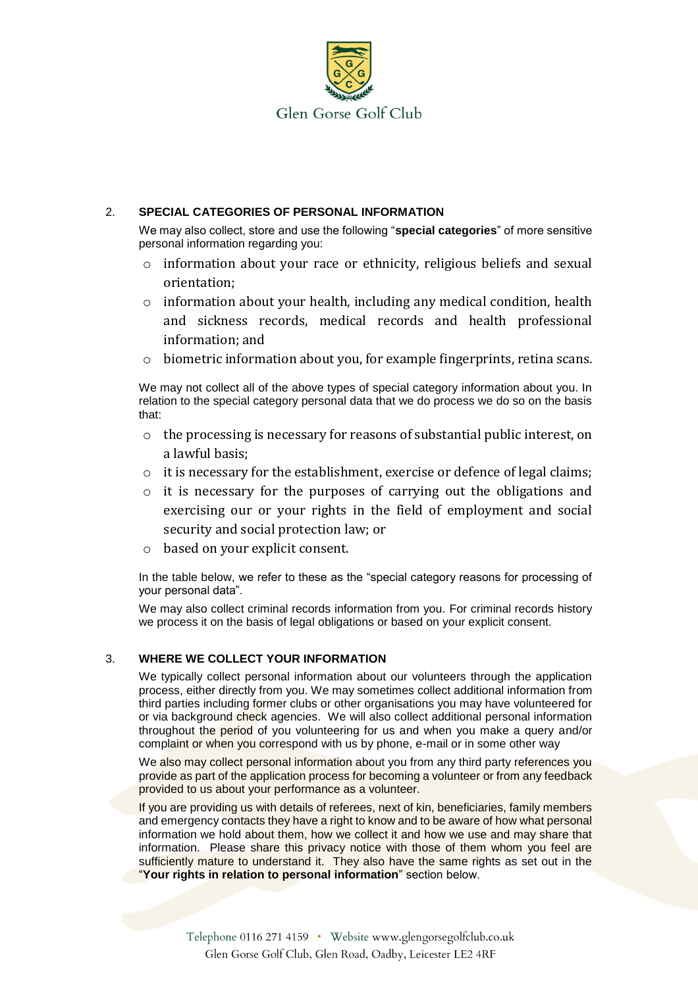

## 2. **SPECIAL CATEGORIES OF PERSONAL INFORMATION**

We may also collect, store and use the following "**special categories**" of more sensitive personal information regarding you:

- $\circ$  information about your race or ethnicity, religious beliefs and sexual orientation;
- o information about your health, including any medical condition, health and sickness records, medical records and health professional information; and
- $\circ$  biometric information about you, for example fingerprints, retina scans.

We may not collect all of the above types of special category information about you. In relation to the special category personal data that we do process we do so on the basis that:

- o the processing is necessary for reasons of substantial public interest, on a lawful basis;
- o it is necessary for the establishment, exercise or defence of legal claims;
- o it is necessary for the purposes of carrying out the obligations and exercising our or your rights in the field of employment and social security and social protection law; or
- based on your explicit consent.

In the table below, we refer to these as the "special category reasons for processing of your personal data".

We may also collect criminal records information from you. For criminal records history we process it on the basis of legal obligations or based on your explicit consent.

## 3. **WHERE WE COLLECT YOUR INFORMATION**

We typically collect personal information about our volunteers through the application process, either directly from you. We may sometimes collect additional information from third parties including former clubs or other organisations you may have volunteered for or via background check agencies. We will also collect additional personal information throughout the period of you volunteering for us and when you make a query and/or complaint or when you correspond with us by phone, e-mail or in some other way

We also may collect personal information about you from any third party references you provide as part of the application process for becoming a volunteer or from any feedback provided to us about your performance as a volunteer.

If you are providing us with details of referees, next of kin, beneficiaries, family members and emergency contacts they have a right to know and to be aware of how what personal information we hold about them, how we collect it and how we use and may share that information. Please share this privacy notice with those of them whom you feel are sufficiently mature to understand it. They also have the same rights as set out in the "**Your rights in relation to personal information**" section below.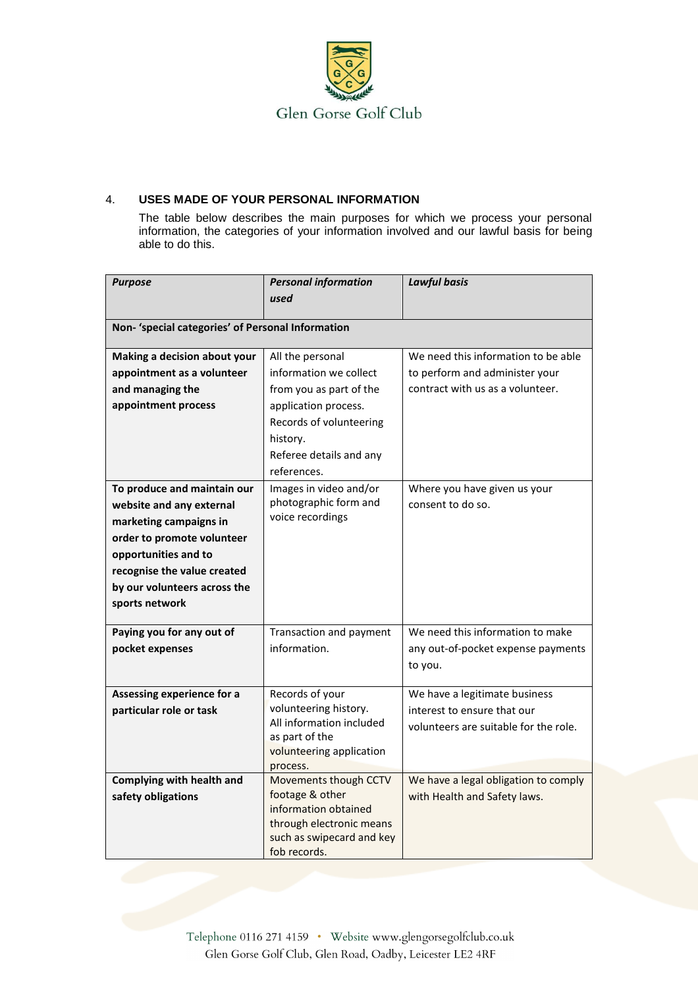

# 4. **USES MADE OF YOUR PERSONAL INFORMATION**

The table below describes the main purposes for which we process your personal information, the categories of your information involved and our lawful basis for being able to do this.

| <b>Purpose</b>                                    | <b>Personal information</b><br>used                   | <b>Lawful basis</b>                   |  |  |
|---------------------------------------------------|-------------------------------------------------------|---------------------------------------|--|--|
| Non- 'special categories' of Personal Information |                                                       |                                       |  |  |
| Making a decision about your                      | All the personal                                      | We need this information to be able   |  |  |
| appointment as a volunteer                        | information we collect                                | to perform and administer your        |  |  |
| and managing the                                  | from you as part of the                               | contract with us as a volunteer.      |  |  |
| appointment process                               | application process.                                  |                                       |  |  |
|                                                   | Records of volunteering                               |                                       |  |  |
|                                                   | history.                                              |                                       |  |  |
|                                                   | Referee details and any                               |                                       |  |  |
|                                                   | references.                                           |                                       |  |  |
| To produce and maintain our                       | Images in video and/or                                | Where you have given us your          |  |  |
| website and any external                          | photographic form and                                 | consent to do so.                     |  |  |
| marketing campaigns in                            | voice recordings                                      |                                       |  |  |
| order to promote volunteer                        |                                                       |                                       |  |  |
| opportunities and to                              |                                                       |                                       |  |  |
| recognise the value created                       |                                                       |                                       |  |  |
| by our volunteers across the                      |                                                       |                                       |  |  |
| sports network                                    |                                                       |                                       |  |  |
| Paying you for any out of                         | Transaction and payment                               | We need this information to make      |  |  |
| pocket expenses                                   | information.                                          | any out-of-pocket expense payments    |  |  |
|                                                   |                                                       | to you.                               |  |  |
| Assessing experience for a                        | Records of your                                       | We have a legitimate business         |  |  |
| particular role or task                           | volunteering history.                                 | interest to ensure that our           |  |  |
|                                                   | All information included                              | volunteers are suitable for the role. |  |  |
|                                                   | as part of the                                        |                                       |  |  |
|                                                   | volunteering application<br>process.                  |                                       |  |  |
| <b>Complying with health and</b>                  | Movements though CCTV                                 | We have a legal obligation to comply  |  |  |
| safety obligations                                | footage & other                                       | with Health and Safety laws.          |  |  |
|                                                   | information obtained                                  |                                       |  |  |
|                                                   | through electronic means<br>such as swipecard and key |                                       |  |  |
|                                                   | fob records.                                          |                                       |  |  |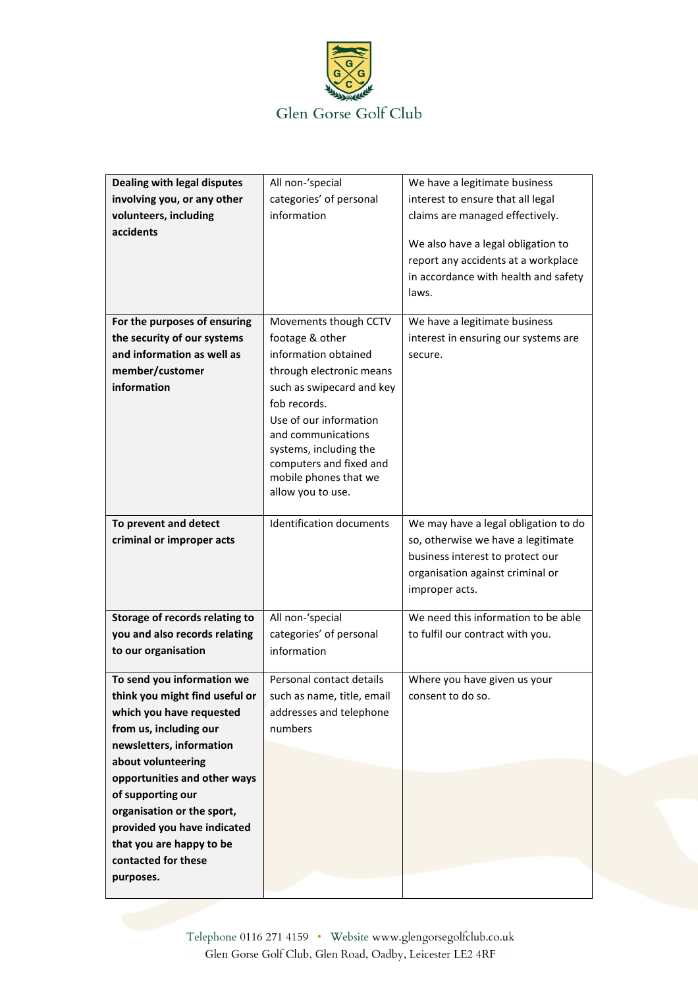

| Dealing with legal disputes    | All non-'special                             | We have a legitimate business        |
|--------------------------------|----------------------------------------------|--------------------------------------|
| involving you, or any other    | categories' of personal                      | interest to ensure that all legal    |
| volunteers, including          | information                                  | claims are managed effectively.      |
| accidents                      |                                              |                                      |
|                                |                                              | We also have a legal obligation to   |
|                                |                                              | report any accidents at a workplace  |
|                                |                                              | in accordance with health and safety |
|                                |                                              | laws.                                |
|                                |                                              |                                      |
| For the purposes of ensuring   | Movements though CCTV                        | We have a legitimate business        |
| the security of our systems    | footage & other                              | interest in ensuring our systems are |
| and information as well as     | information obtained                         | secure.                              |
| member/customer                | through electronic means                     |                                      |
| information                    | such as swipecard and key                    |                                      |
|                                | fob records.                                 |                                      |
|                                |                                              |                                      |
|                                | Use of our information                       |                                      |
|                                | and communications<br>systems, including the |                                      |
|                                | computers and fixed and                      |                                      |
|                                | mobile phones that we                        |                                      |
|                                | allow you to use.                            |                                      |
|                                |                                              |                                      |
| To prevent and detect          | <b>Identification documents</b>              | We may have a legal obligation to do |
| criminal or improper acts      |                                              | so, otherwise we have a legitimate   |
|                                |                                              | business interest to protect our     |
|                                |                                              | organisation against criminal or     |
|                                |                                              | improper acts.                       |
|                                |                                              |                                      |
| Storage of records relating to | All non-'special                             | We need this information to be able  |
| you and also records relating  | categories' of personal                      | to fulfil our contract with you.     |
| to our organisation            | information                                  |                                      |
|                                |                                              |                                      |
| To send you information we     | Personal contact details                     | Where you have given us your         |
| think you might find useful or | such as name, title, email                   | consent to do so.                    |
| which you have requested       | addresses and telephone                      |                                      |
| from us, including our         | numbers                                      |                                      |
| newsletters, information       |                                              |                                      |
| about volunteering             |                                              |                                      |
| opportunities and other ways   |                                              |                                      |
| of supporting our              |                                              |                                      |
| organisation or the sport,     |                                              |                                      |
| provided you have indicated    |                                              |                                      |
| that you are happy to be       |                                              |                                      |
| contacted for these            |                                              |                                      |
|                                |                                              |                                      |
| purposes.                      |                                              |                                      |

Telephone 0116 271 4159 · Website www.glengorsegolfclub.co.uk Glen Gorse Golf Club, Glen Road, Oadby, Leicester LE2 4RF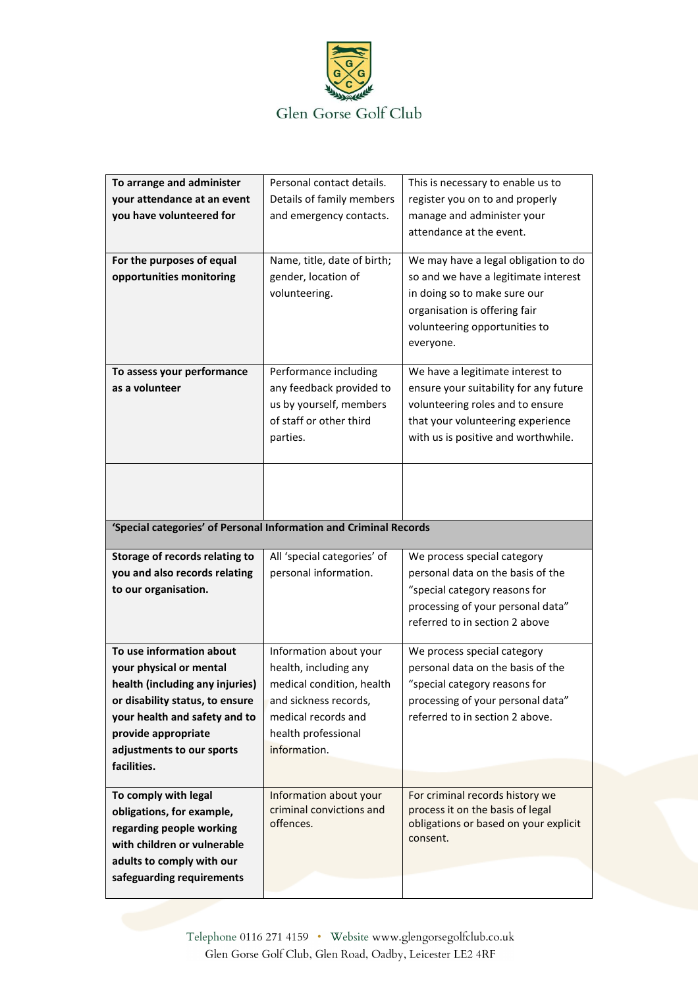

| To arrange and administer                                          | Personal contact details.                            | This is necessary to enable us to                                     |
|--------------------------------------------------------------------|------------------------------------------------------|-----------------------------------------------------------------------|
| your attendance at an event<br>you have volunteered for            | Details of family members<br>and emergency contacts. | register you on to and properly<br>manage and administer your         |
|                                                                    |                                                      | attendance at the event.                                              |
|                                                                    |                                                      |                                                                       |
| For the purposes of equal<br>opportunities monitoring              | Name, title, date of birth;<br>gender, location of   | We may have a legal obligation to do                                  |
|                                                                    | volunteering.                                        | so and we have a legitimate interest<br>in doing so to make sure our  |
|                                                                    |                                                      | organisation is offering fair                                         |
|                                                                    |                                                      | volunteering opportunities to                                         |
|                                                                    |                                                      | everyone.                                                             |
| To assess your performance                                         | Performance including                                | We have a legitimate interest to                                      |
| as a volunteer                                                     | any feedback provided to                             | ensure your suitability for any future                                |
|                                                                    | us by yourself, members<br>of staff or other third   | volunteering roles and to ensure<br>that your volunteering experience |
|                                                                    | parties.                                             | with us is positive and worthwhile.                                   |
|                                                                    |                                                      |                                                                       |
|                                                                    |                                                      |                                                                       |
|                                                                    |                                                      |                                                                       |
|                                                                    |                                                      |                                                                       |
| 'Special categories' of Personal Information and Criminal Records  |                                                      |                                                                       |
| Storage of records relating to                                     | All 'special categories' of                          | We process special category                                           |
| you and also records relating                                      | personal information.                                | personal data on the basis of the                                     |
| to our organisation.                                               |                                                      | "special category reasons for<br>processing of your personal data"    |
|                                                                    |                                                      | referred to in section 2 above                                        |
|                                                                    |                                                      |                                                                       |
| To use information about                                           | Information about your                               | We process special category                                           |
| your physical or mental                                            | health, including any<br>medical condition, health   | personal data on the basis of the                                     |
| health (including any injuries)<br>or disability status, to ensure | and sickness records,                                | "special category reasons for<br>processing of your personal data"    |
| your health and safety and to                                      | medical records and                                  | referred to in section 2 above.                                       |
| provide appropriate                                                | health professional                                  |                                                                       |
| adjustments to our sports                                          | information.                                         |                                                                       |
| facilities.                                                        |                                                      |                                                                       |
|                                                                    |                                                      |                                                                       |
| To comply with legal                                               | Information about your                               | For criminal records history we                                       |
| obligations, for example,                                          | criminal convictions and                             | process it on the basis of legal                                      |
| regarding people working                                           | offences.                                            | obligations or based on your explicit<br>consent.                     |
| with children or vulnerable                                        |                                                      |                                                                       |
| adults to comply with our                                          |                                                      |                                                                       |
| safeguarding requirements                                          |                                                      |                                                                       |

Telephone 0116 271 4159 · Website www.glengorsegolfclub.co.uk Glen Gorse Golf Club, Glen Road, Oadby, Leicester LE2 4RF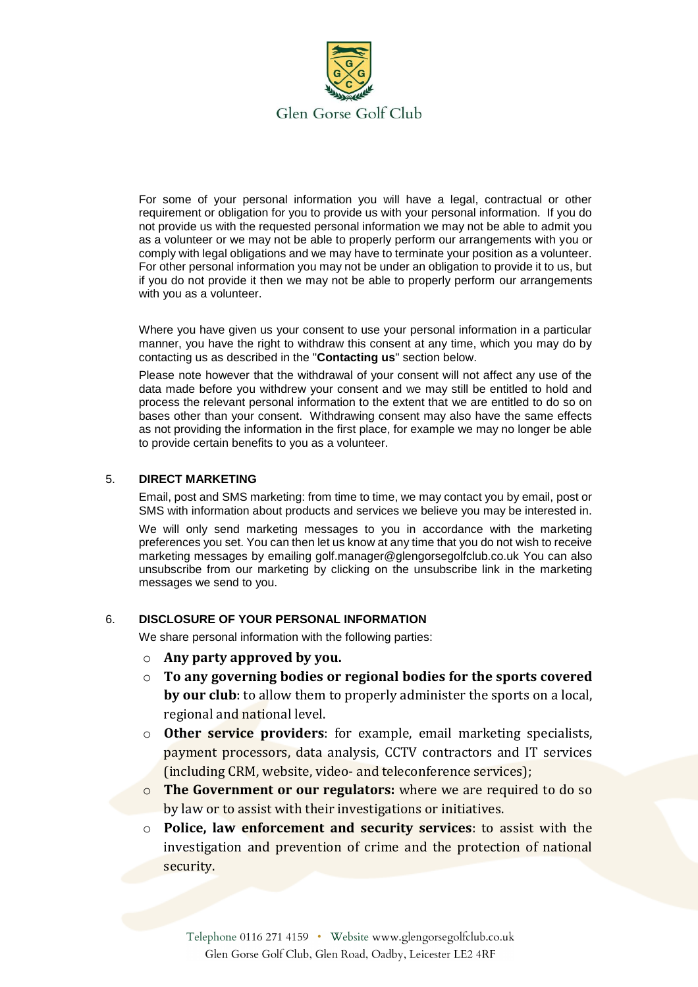

For some of your personal information you will have a legal, contractual or other requirement or obligation for you to provide us with your personal information. If you do not provide us with the requested personal information we may not be able to admit you as a volunteer or we may not be able to properly perform our arrangements with you or comply with legal obligations and we may have to terminate your position as a volunteer. For other personal information you may not be under an obligation to provide it to us, but if you do not provide it then we may not be able to properly perform our arrangements with you as a volunteer.

Where you have given us your consent to use your personal information in a particular manner, you have the right to withdraw this consent at any time, which you may do by contacting us as described in the "**Contacting us**" section below.

Please note however that the withdrawal of your consent will not affect any use of the data made before you withdrew your consent and we may still be entitled to hold and process the relevant personal information to the extent that we are entitled to do so on bases other than your consent. Withdrawing consent may also have the same effects as not providing the information in the first place, for example we may no longer be able to provide certain benefits to you as a volunteer.

#### 5. **DIRECT MARKETING**

Email, post and SMS marketing: from time to time, we may contact you by email, post or SMS with information about products and services we believe you may be interested in.

We will only send marketing messages to you in accordance with the marketing preferences you set. You can then let us know at any time that you do not wish to receive marketing messages by emailing golf.manager@glengorsegolfclub.co.uk You can also unsubscribe from our marketing by clicking on the unsubscribe link in the marketing messages we send to you.

#### 6. **DISCLOSURE OF YOUR PERSONAL INFORMATION**

We share personal information with the following parties:

- o **Any party approved by you.**
- o **To any governing bodies or regional bodies for the sports covered by our club**: to allow them to properly administer the sports on a local, regional and national level.
- o **Other service providers**: for example, email marketing specialists, payment processors, data analysis, CCTV contractors and IT services (including CRM, website, video- and teleconference services);
- o **The Government or our regulators:** where we are required to do so by law or to assist with their investigations or initiatives.
- o **Police, law enforcement and security services**: to assist with the investigation and prevention of crime and the protection of national security.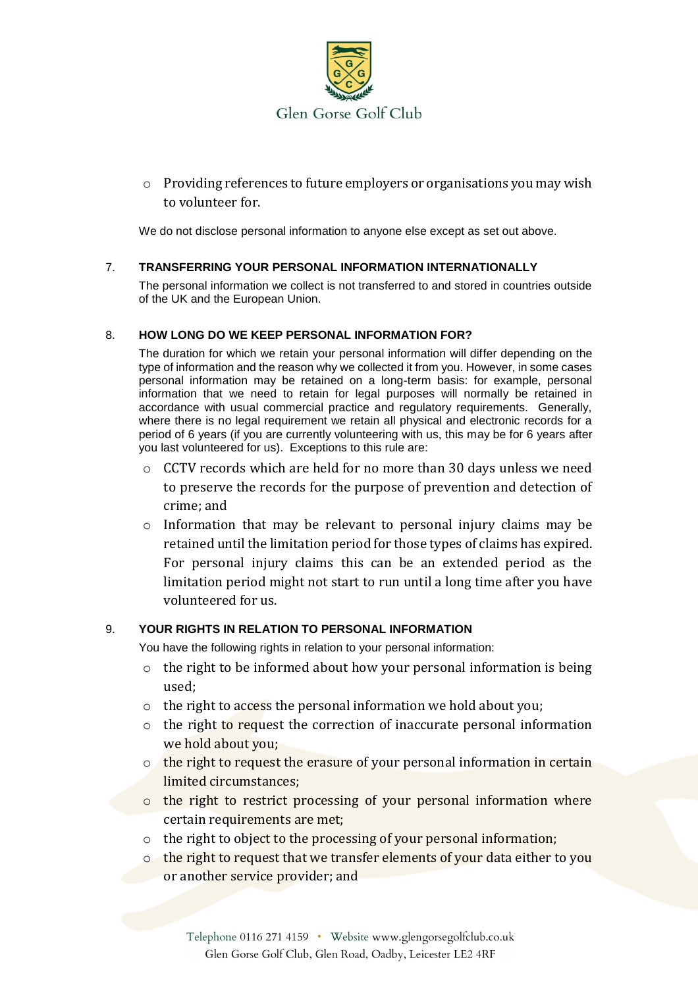

o Providing references to future employers or organisations you may wish to volunteer for.

We do not disclose personal information to anyone else except as set out above.

## 7. **TRANSFERRING YOUR PERSONAL INFORMATION INTERNATIONALLY**

The personal information we collect is not transferred to and stored in countries outside of the UK and the European Union.

## 8. **HOW LONG DO WE KEEP PERSONAL INFORMATION FOR?**

The duration for which we retain your personal information will differ depending on the type of information and the reason why we collected it from you. However, in some cases personal information may be retained on a long-term basis: for example, personal information that we need to retain for legal purposes will normally be retained in accordance with usual commercial practice and regulatory requirements. Generally, where there is no legal requirement we retain all physical and electronic records for a period of 6 years (if you are currently volunteering with us, this may be for 6 years after you last volunteered for us). Exceptions to this rule are:

- o CCTV records which are held for no more than 30 days unless we need to preserve the records for the purpose of prevention and detection of crime; and
- o Information that may be relevant to personal injury claims may be retained until the limitation period for those types of claims has expired. For personal injury claims this can be an extended period as the limitation period might not start to run until a long time after you have volunteered for us.

## 9. **YOUR RIGHTS IN RELATION TO PERSONAL INFORMATION**

You have the following rights in relation to your personal information:

- o the right to be informed about how your personal information is being used;
- o the right to access the personal information we hold about you;
- $\circ$  the right to request the correction of inaccurate personal information we hold about you;
- o the right to request the erasure of your personal information in certain limited circumstances;
- o the right to restrict processing of your personal information where certain requirements are met;
- o the right to object to the processing of your personal information;
- o the right to request that we transfer elements of your data either to you or another service provider; and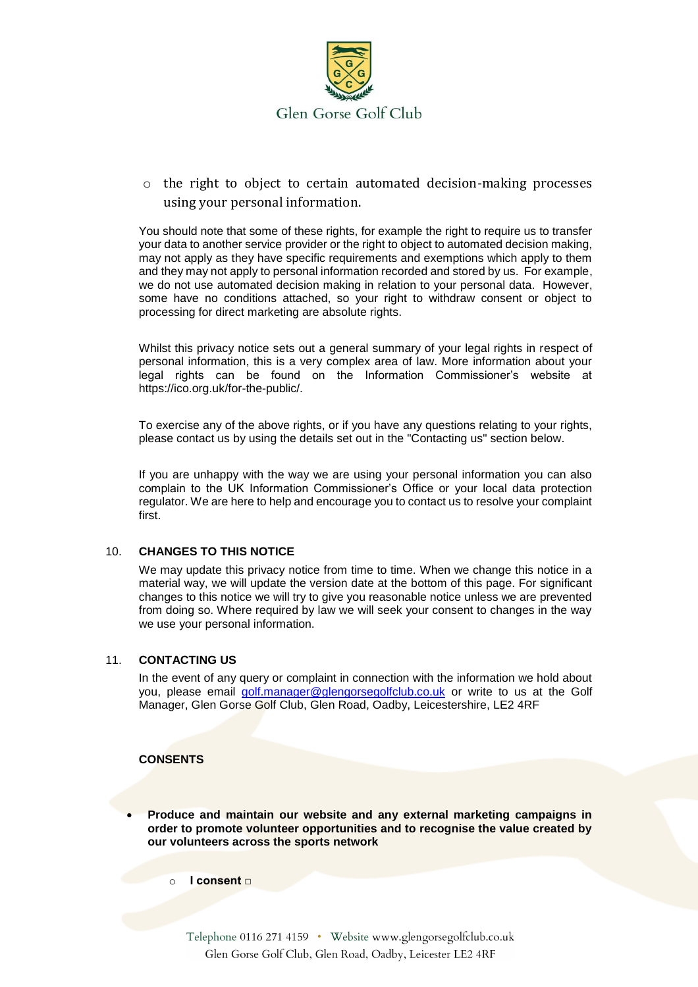

o the right to object to certain automated decision-making processes using your personal information.

You should note that some of these rights, for example the right to require us to transfer your data to another service provider or the right to object to automated decision making, may not apply as they have specific requirements and exemptions which apply to them and they may not apply to personal information recorded and stored by us. For example, we do not use automated decision making in relation to your personal data. However, some have no conditions attached, so your right to withdraw consent or object to processing for direct marketing are absolute rights.

Whilst this privacy notice sets out a general summary of your legal rights in respect of personal information, this is a very complex area of law. More information about your legal rights can be found on the Information Commissioner's website at https://ico.org.uk/for-the-public/.

To exercise any of the above rights, or if you have any questions relating to your rights, please contact us by using the details set out in the "Contacting us" section below.

If you are unhappy with the way we are using your personal information you can also complain to the UK Information Commissioner's Office or your local data protection regulator. We are here to help and encourage you to contact us to resolve your complaint first.

#### 10. **CHANGES TO THIS NOTICE**

We may update this privacy notice from time to time. When we change this notice in a material way, we will update the version date at the bottom of this page. For significant changes to this notice we will try to give you reasonable notice unless we are prevented from doing so. Where required by law we will seek your consent to changes in the way we use your personal information.

#### 11. **CONTACTING US**

In the event of any query or complaint in connection with the information we hold about you, please email [golf.manager@glengorsegolfclub.co.uk](mailto:golf.manager@glengorsegolfclub.co.uk) or write to us at the Golf Manager, Glen Gorse Golf Club, Glen Road, Oadby, Leicestershire, LE2 4RF

#### **CONSENTS**

• **Produce and maintain our website and any external marketing campaigns in order to promote volunteer opportunities and to recognise the value created by our volunteers across the sports network**

o **I consent □** 

Telephone 0116 271 4159 · Website www.glengorsegolfclub.co.uk Glen Gorse Golf Club, Glen Road, Oadby, Leicester LE2 4RF